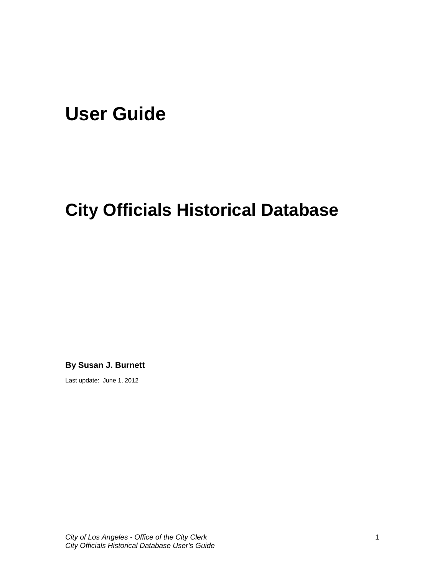# **User Guide**

## **City Officials Historical Database**

**By Susan J. Burnett** 

Last update: June 1, 2012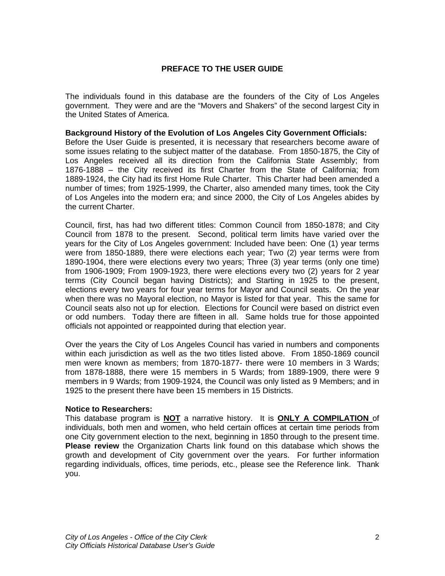## **PREFACE TO THE USER GUIDE**

The individuals found in this database are the founders of the City of Los Angeles government. They were and are the "Movers and Shakers" of the second largest City in the United States of America.

#### **Background History of the Evolution of Los Angeles City Government Officials:**

Before the User Guide is presented, it is necessary that researchers become aware of some issues relating to the subject matter of the database. From 1850-1875, the City of Los Angeles received all its direction from the California State Assembly; from 1876-1888 – the City received its first Charter from the State of California; from 1889-1924, the City had its first Home Rule Charter. This Charter had been amended a number of times; from 1925-1999, the Charter, also amended many times, took the City of Los Angeles into the modern era; and since 2000, the City of Los Angeles abides by the current Charter.

Council, first, has had two different titles: Common Council from 1850-1878; and City Council from 1878 to the present. Second, political term limits have varied over the years for the City of Los Angeles government: Included have been: One (1) year terms were from 1850-1889, there were elections each year; Two (2) year terms were from 1890-1904, there were elections every two years; Three (3) year terms (only one time) from 1906-1909; From 1909-1923, there were elections every two (2) years for 2 year terms (City Council began having Districts); and Starting in 1925 to the present, elections every two years for four year terms for Mayor and Council seats. On the year when there was no Mayoral election, no Mayor is listed for that year. This the same for Council seats also not up for election. Elections for Council were based on district even or odd numbers. Today there are fifteen in all. Same holds true for those appointed officials not appointed or reappointed during that election year.

Over the years the City of Los Angeles Council has varied in numbers and components within each jurisdiction as well as the two titles listed above. From 1850-1869 council men were known as members; from 1870-1877- there were 10 members in 3 Wards; from 1878-1888, there were 15 members in 5 Wards; from 1889-1909, there were 9 members in 9 Wards; from 1909-1924, the Council was only listed as 9 Members; and in 1925 to the present there have been 15 members in 15 Districts.

#### **Notice to Researchers:**

This database program is **NOT** a narrative history. It is **ONLY A COMPILATION** of individuals, both men and women, who held certain offices at certain time periods from one City government election to the next, beginning in 1850 through to the present time. **Please review** the Organization Charts link found on this database which shows the growth and development of City government over the years. For further information regarding individuals, offices, time periods, etc., please see the Reference link. Thank you.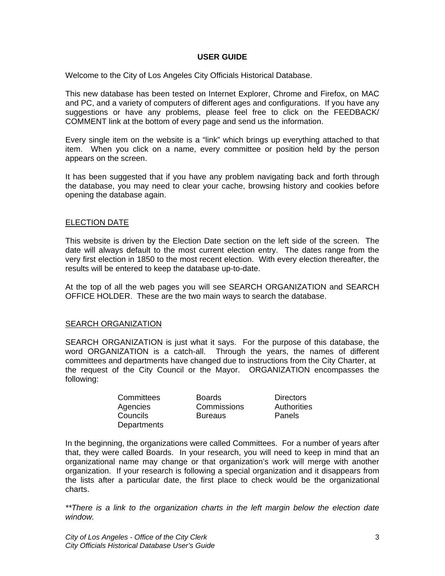### **USER GUIDE**

Welcome to the City of Los Angeles City Officials Historical Database.

This new database has been tested on Internet Explorer, Chrome and Firefox, on MAC and PC, and a variety of computers of different ages and configurations. If you have any suggestions or have any problems, please feel free to click on the FEEDBACK/ COMMENT link at the bottom of every page and send us the information.

Every single item on the website is a "link" which brings up everything attached to that item. When you click on a name, every committee or position held by the person appears on the screen.

It has been suggested that if you have any problem navigating back and forth through the database, you may need to clear your cache, browsing history and cookies before opening the database again.

#### ELECTION DATE

This website is driven by the Election Date section on the left side of the screen. The date will always default to the most current election entry. The dates range from the very first election in 1850 to the most recent election. With every election thereafter, the results will be entered to keep the database up-to-date.

At the top of all the web pages you will see SEARCH ORGANIZATION and SEARCH OFFICE HOLDER. These are the two main ways to search the database.

#### **SEARCH ORGANIZATION**

SEARCH ORGANIZATION is just what it says. For the purpose of this database, the word ORGANIZATION is a catch-all. Through the years, the names of different committees and departments have changed due to instructions from the City Charter, at the request of the City Council or the Mayor. ORGANIZATION encompasses the following:

| Committees  |
|-------------|
| Agencies    |
| Councils    |
| Departments |

Boards Directors Commissions Authorities Bureaus **Panels** 

In the beginning, the organizations were called Committees. For a number of years after that, they were called Boards. In your research, you will need to keep in mind that an organizational name may change or that organization's work will merge with another organization. If your research is following a special organization and it disappears from the lists after a particular date, the first place to check would be the organizational charts.

*\*\*There is a link to the organization charts in the left margin below the election date window.*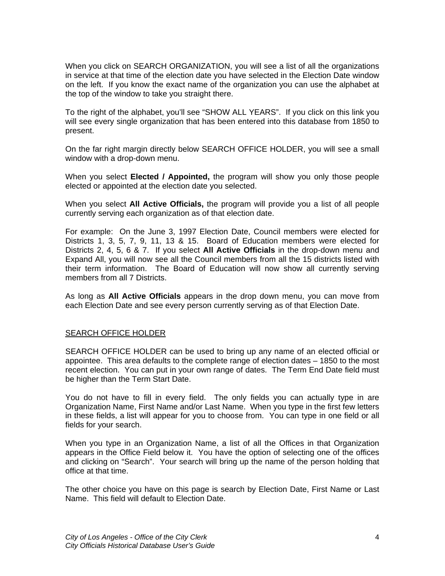When you click on SEARCH ORGANIZATION, you will see a list of all the organizations in service at that time of the election date you have selected in the Election Date window on the left. If you know the exact name of the organization you can use the alphabet at the top of the window to take you straight there.

To the right of the alphabet, you'll see "SHOW ALL YEARS". If you click on this link you will see every single organization that has been entered into this database from 1850 to present.

On the far right margin directly below SEARCH OFFICE HOLDER, you will see a small window with a drop-down menu.

When you select **Elected / Appointed,** the program will show you only those people elected or appointed at the election date you selected.

When you select **All Active Officials,** the program will provide you a list of all people currently serving each organization as of that election date.

For example: On the June 3, 1997 Election Date, Council members were elected for Districts 1, 3, 5, 7, 9, 11, 13 & 15. Board of Education members were elected for Districts 2, 4, 5, 6 & 7. If you select **All Active Officials** in the drop-down menu and Expand All, you will now see all the Council members from all the 15 districts listed with their term information. The Board of Education will now show all currently serving members from all 7 Districts.

As long as **All Active Officials** appears in the drop down menu, you can move from each Election Date and see every person currently serving as of that Election Date.

#### SEARCH OFFICE HOLDER

SEARCH OFFICE HOLDER can be used to bring up any name of an elected official or appointee. This area defaults to the complete range of election dates – 1850 to the most recent election. You can put in your own range of dates. The Term End Date field must be higher than the Term Start Date.

You do not have to fill in every field. The only fields you can actually type in are Organization Name, First Name and/or Last Name. When you type in the first few letters in these fields, a list will appear for you to choose from. You can type in one field or all fields for your search.

When you type in an Organization Name, a list of all the Offices in that Organization appears in the Office Field below it. You have the option of selecting one of the offices and clicking on "Search". Your search will bring up the name of the person holding that office at that time.

The other choice you have on this page is search by Election Date, First Name or Last Name. This field will default to Election Date.